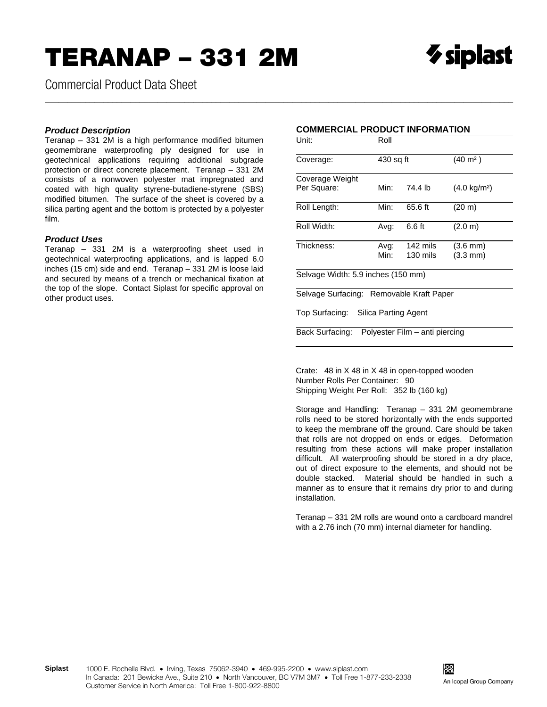Commercial Product Data Sheet

## *Product Description*

Teranap – 331 2M is a high performance modified bitumen geomembrane waterproofing ply designed for use in geotechnical applications requiring additional subgrade protection or direct concrete placement. Teranap – 331 2M consists of a nonwoven polyester mat impregnated and coated with high quality styrene-butadiene-styrene (SBS) modified bitumen. The surface of the sheet is covered by a silica parting agent and the bottom is protected by a polyester film.

## *Product Uses*

Teranap – 331 2M is a waterproofing sheet used in geotechnical waterproofing applications, and is lapped 6.0 inches (15 cm) side and end. Teranap – 331 2M is loose laid and secured by means of a trench or mechanical fixation at the top of the slope. Contact Siplast for specific approval on other product uses.

## **COMMERCIAL PRODUCT INFORMATION**

\_\_\_\_\_\_\_\_\_\_\_\_\_\_\_\_\_\_\_\_\_\_\_\_\_\_\_\_\_\_\_\_\_\_\_\_\_\_\_\_\_\_\_\_\_\_\_\_\_\_\_\_\_\_\_\_\_\_\_\_\_\_\_\_\_\_\_\_\_\_\_\_\_\_\_\_\_\_\_\_\_\_\_\_\_\_\_\_\_\_\_\_\_\_\_\_\_\_\_\_\_\_\_\_

| Unit:                                    | Roll      |                                |                        |
|------------------------------------------|-----------|--------------------------------|------------------------|
| Coverage:                                | 430 sq ft |                                | $(40 \; \text{m}^2)$   |
| Coverage Weight                          |           |                                |                        |
| Per Square:                              | Min:      | 74.4 lb                        | $(4.0 \text{ kg/m}^2)$ |
| Roll Length:                             | Min:      | 65.6 ft                        | (20 m)                 |
| Roll Width:                              | Avg:      | 6.6 ft                         | (2.0 m)                |
| Thickness:                               | Avg:      | 142 mils                       | $(3.6 \text{ mm})$     |
|                                          | Min:      | 130 mils                       | $(3.3 \text{ mm})$     |
| Selvage Width: 5.9 inches (150 mm)       |           |                                |                        |
| Selvage Surfacing: Removable Kraft Paper |           |                                |                        |
| Top Surfacing: Silica Parting Agent      |           |                                |                        |
| Back Surfacing:                          |           | Polyester Film – anti piercing |                        |

Crate: 48 in X 48 in X 48 in open-topped wooden Number Rolls Per Container: 90 Shipping Weight Per Roll: 352 lb (160 kg)

Storage and Handling: Teranap – 331 2M geomembrane rolls need to be stored horizontally with the ends supported to keep the membrane off the ground. Care should be taken that rolls are not dropped on ends or edges. Deformation resulting from these actions will make proper installation difficult. All waterproofing should be stored in a dry place, out of direct exposure to the elements, and should not be double stacked. Material should be handled in such a manner as to ensure that it remains dry prior to and during installation.

Teranap – 331 2M rolls are wound onto a cardboard mandrel with a 2.76 inch (70 mm) internal diameter for handling.